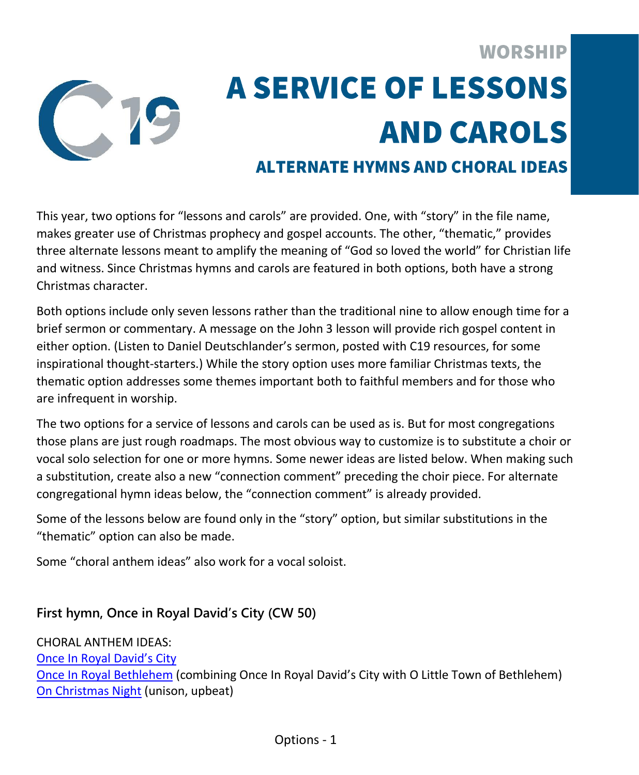

# **WORSHIP A SERVICE OF LESSONS AND CAROLS**

## **ALTERNATE HYMNS AND CHORAL IDEAS**

This year, two options for "lessons and carols" are provided. One, with "story" in the file name, makes greater use of Christmas prophecy and gospel accounts. The other, "thematic," provides three alternate lessons meant to amplify the meaning of "God so loved the world" for Christian life and witness. Since Christmas hymns and carols are featured in both options, both have a strong Christmas character.

Both options include only seven lessons rather than the traditional nine to allow enough time for a brief sermon or commentary. A message on the John 3 lesson will provide rich gospel content in either option. (Listen to Daniel Deutschlander's sermon, posted with C19 resources, for some inspirational thought-starters.) While the story option uses more familiar Christmas texts, the thematic option addresses some themes important both to faithful members and for those who are infrequent in worship.

The two options for a service of lessons and carols can be used as is. But for most congregations those plans are just rough roadmaps. The most obvious way to customize is to substitute a choir or vocal solo selection for one or more hymns. Some newer ideas are listed below. When making such a substitution, create also a new "connection comment" preceding the choir piece. For alternate congregational hymn ideas below, the "connection comment" is already provided.

Some of the lessons below are found only in the "story" option, but similar substitutions in the "thematic" option can also be made.

Some "choral anthem ideas" also work for a vocal soloist.

### **First hymn, Once in Royal David's City (CW 50)**

CHORAL ANTHEM IDEAS: [Once In Royal David's City](https://online.nph.net/once-in-royal-davids-city.html) [Once In Royal Bethlehem](https://online.nph.net/once-in-royal-bethlehem.html) (combining Once In Royal David's City with O Little Town of Bethlehem) [On Christmas Night](https://online.nph.net/on-christmas-night-1.html) (unison, upbeat)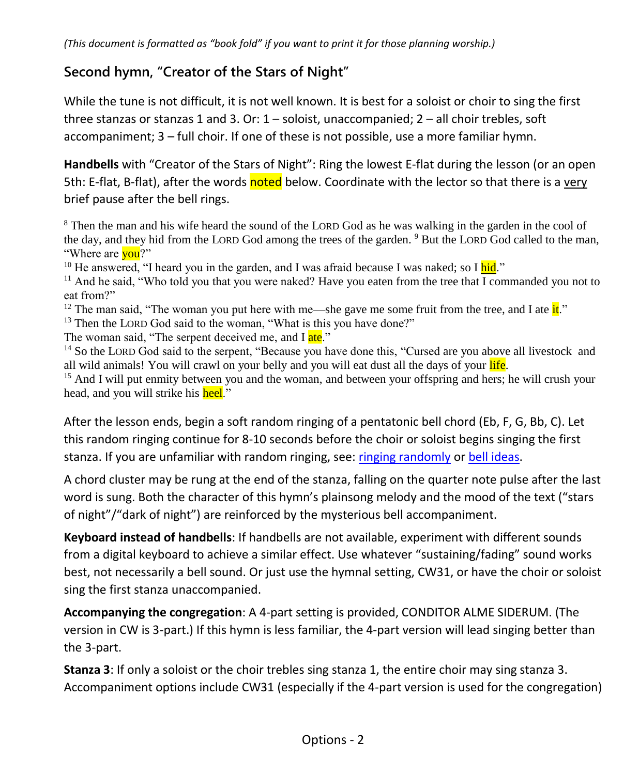### **Second hymn, "Creator of the Stars of Night"**

While the tune is not difficult, it is not well known. It is best for a soloist or choir to sing the first three stanzas or stanzas 1 and 3. Or:  $1 -$  soloist, unaccompanied;  $2 -$  all choir trebles, soft accompaniment; 3 – full choir. If one of these is not possible, use a more familiar hymn.

**Handbells** with "Creator of the Stars of Night": Ring the lowest E-flat during the lesson (or an open 5th: E-flat, B-flat), after the words noted below. Coordinate with the lector so that there is a very brief pause after the bell rings.

<sup>8</sup> Then the man and his wife heard the sound of the LORD God as he was walking in the garden in the cool of the day, and they hid from the LORD God among the trees of the garden. <sup>9</sup> But the LORD God called to the man, "Where are **you**?"

<sup>10</sup> He answered, "I heard you in the garden, and I was afraid because I was naked; so I hid."

<sup>11</sup> And he said, "Who told you that you were naked? Have you eaten from the tree that I commanded you not to eat from?"

<sup>12</sup> The man said, "The woman you put here with me—she gave me some fruit from the tree, and I ate  $it$ ."

<sup>13</sup> Then the LORD God said to the woman, "What is this you have done?"

The woman said, "The serpent deceived me, and I ate."

<sup>14</sup> So the LORD God said to the serpent, "Because you have done this, "Cursed are you above all livestock and all wild animals! You will crawl on your belly and you will eat dust all the days of your life.

<sup>15</sup> And I will put enmity between you and the woman, and between your offspring and hers; he will crush your head, and you will strike his heel."

After the lesson ends, begin a soft random ringing of a pentatonic bell chord (Eb, F, G, Bb, C). Let this random ringing continue for 8-10 seconds before the choir or soloist begins singing the first stanza. If you are unfamiliar with random ringing, see: [ringing randomly](https://blogs.lcms.org/2012/random-thoughts-on-ringing-bells-randomly/) or [bell ideas.](https://www.reformedworship.org/article/december-2002/ring-those-bells-ideas-using-handbells-worship)

A chord cluster may be rung at the end of the stanza, falling on the quarter note pulse after the last word is sung. Both the character of this hymn's plainsong melody and the mood of the text ("stars of night"/"dark of night") are reinforced by the mysterious bell accompaniment.

**Keyboard instead of handbells**: If handbells are not available, experiment with different sounds from a digital keyboard to achieve a similar effect. Use whatever "sustaining/fading" sound works best, not necessarily a bell sound. Or just use the hymnal setting, CW31, or have the choir or soloist sing the first stanza unaccompanied.

**Accompanying the congregation**: A 4-part setting is provided, CONDITOR ALME SIDERUM. (The version in CW is 3-part.) If this hymn is less familiar, the 4-part version will lead singing better than the 3-part.

**Stanza 3**: If only a soloist or the choir trebles sing stanza 1, the entire choir may sing stanza 3. Accompaniment options include CW31 (especially if the 4-part version is used for the congregation)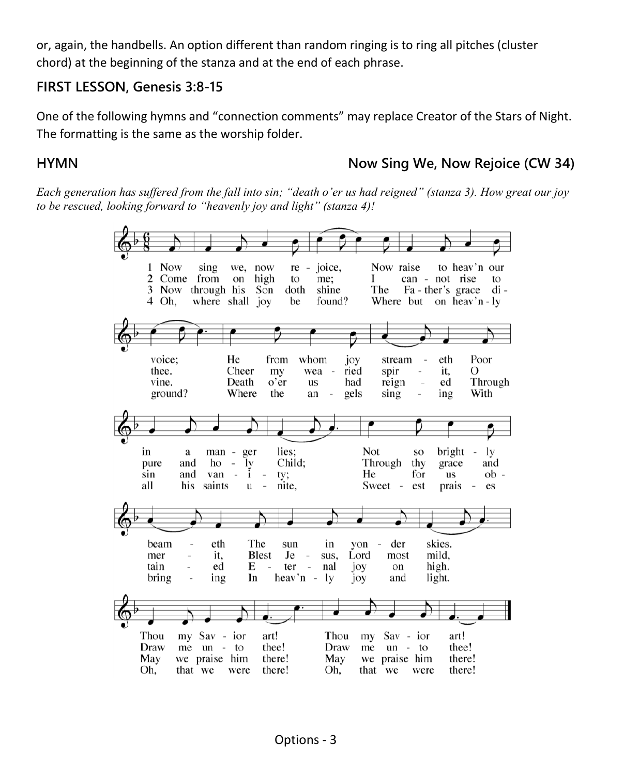or, again, the handbells. An option different than random ringing is to ring all pitches (cluster chord) at the beginning of the stanza and at the end of each phrase.

#### **FIRST LESSON, Genesis 3:8-15**

One of the following hymns and "connection comments" may replace Creator of the Stars of Night. The formatting is the same as the worship folder.

**HYMN Now Sing We, Now Rejoice (CW 34)**

*Each generation has suffered from the fall into sin; "death o'er us had reigned" (stanza 3). How great our joy to be rescued, looking forward to "heavenly joy and light" (stanza 4)!*

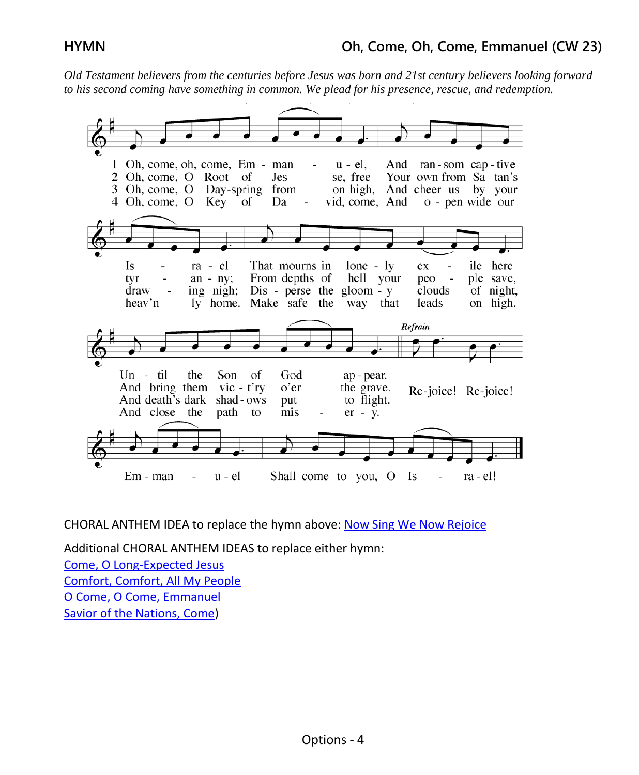*Old Testament believers from the centuries before Jesus was born and 21st century believers looking forward to his second coming have something in common. We plead for his presence, rescue, and redemption.*



CHORAL ANTHEM IDEA to replace the hymn above[: Now Sing We Now Rejoice](https://online.nph.net/now-sing-we-now-rejoice-1.html)

Additional CHORAL ANTHEM IDEAS to replace either hymn:

[Come, O Long-Expected Jesus](https://online.nph.net/come-thou-long-expected-jesus.html) [Comfort, Comfort, All My People](https://online.nph.net/comfort-comfort-all-my-people-1.html) [O Come, O Come, Emmanuel](https://online.nph.net/o-come-o-come-emmanuel-1.html) [Savior of the Nations, Come\)](https://online.nph.net/catalog/product/view/id/21749/category/1555/)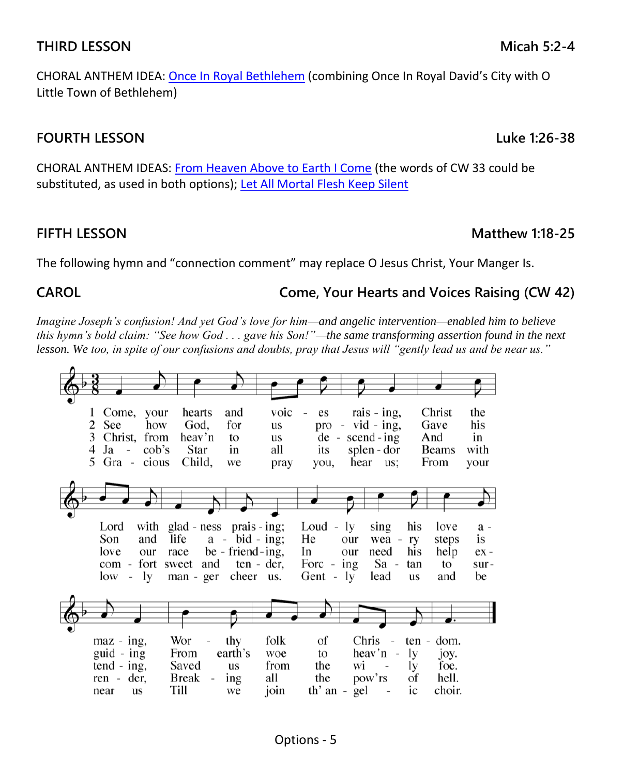#### Options - 5

CHORAL ANTHEM IDEA: [Once In Royal Bethlehem](https://online.nph.net/once-in-royal-bethlehem.html) (combining Once In Royal David's City with O Little Town of Bethlehem)

#### **FOURTH LESSON Luke 1:26-38**

CHORAL ANTHEM IDEAS: [From Heaven Above to Earth I Come](https://online.nph.net/from-heaven-above.html) (the words of CW 33 could be substituted, as used in both options); [Let All Mortal Flesh Keep Silent](https://online.nph.net/let-all-mortal-flesh-keep-silence.html)

### **FIFTH LESSON Matthew 1:18-25**

The following hymn and "connection comment" may replace O Jesus Christ, Your Manger Is.

### **CAROL Come, Your Hearts and Voices Raising (CW 42)**

*Imagine Joseph's confusion! And yet God's love for him—and angelic intervention—enabled him to believe this hymn's bold claim: "See how God . . . gave his Son!"—the same transforming assertion found in the next lesson. We too, in spite of our confusions and doubts, pray that Jesus will "gently lead us and be near us."*

| Come,<br>your                           | hearts                          | and              | voic | es                              | rais - ing,                        | Christ           | the    |
|-----------------------------------------|---------------------------------|------------------|------|---------------------------------|------------------------------------|------------------|--------|
| See<br>2<br>how                         | God,                            | for              | us   | pro<br>$\overline{\phantom{0}}$ | $vid - ing$ ,                      | Gave             | his    |
| 3<br>Christ,<br>from                    | heav'n                          |                  |      |                                 | $second - ing$                     |                  | in     |
|                                         |                                 | to               | us   | de<br>$\overline{\phantom{a}}$  |                                    | And              |        |
| Ja<br>$\cosh$ 's<br>4<br>$\overline{a}$ | Star                            | in               | all  | its                             | splen - dor                        | <b>Beams</b>     | with   |
| $\tilde{\mathcal{L}}$<br>Gra -<br>cious | Child,                          | we               | pray | you,                            | hear<br>us:                        | From             | your   |
|                                         |                                 |                  |      |                                 |                                    |                  |        |
|                                         |                                 |                  |      |                                 |                                    |                  |        |
|                                         |                                 |                  |      |                                 |                                    |                  |        |
|                                         |                                 |                  |      |                                 |                                    |                  |        |
|                                         |                                 |                  |      |                                 |                                    |                  |        |
| with<br>Lord                            | glad - ness prais - ing;        |                  |      | Loud -                          | sing<br>ly.                        | his<br>love      | a -    |
| Son<br>and                              | life                            | $a - bid - ing;$ |      | He                              | our<br>wea -                       | steps<br>ry      | is     |
| love                                    |                                 |                  |      | In                              |                                    |                  |        |
| our                                     | race                            | be - friend-ing, |      |                                 | need<br>our                        | his<br>help      | $ex -$ |
| fort<br>com<br>$\overline{\phantom{a}}$ | and<br>sweet                    | ten - der,       |      | Forc -                          | Sa -<br>ing                        | to<br>tan        | sur-   |
| ly<br>low<br>$\overline{a}$             | man - ger                       | cheer us.        |      | Gent -                          | 1y<br>lead                         | and<br><b>us</b> | be     |
|                                         |                                 |                  |      |                                 |                                    |                  |        |
|                                         |                                 |                  |      |                                 |                                    |                  |        |
|                                         |                                 |                  |      |                                 |                                    |                  |        |
|                                         |                                 |                  |      |                                 |                                    |                  |        |
|                                         |                                 |                  |      |                                 |                                    |                  |        |
| maz - ing,                              | Wor<br>$\overline{\phantom{0}}$ | thy              | folk | Οf                              | Chris<br>$\overline{a}$            | dom.<br>ten -    |        |
| guid - ing                              | From                            | earth's          | woe  | to                              | heav'n<br>$\overline{\phantom{a}}$ | ly<br>joy.       |        |
|                                         |                                 |                  |      |                                 |                                    |                  |        |
| $tend - ing$ ,                          | Saved                           | <b>us</b>        | from | the                             | wi<br>$\sim$                       | foe.<br>lу       |        |
| ren - der,                              | Break<br>$\qquad \qquad -$      | ing              | all  | the                             | pow'rs                             | of<br>hell.      |        |
| near<br><b>us</b>                       | Till                            | we               | join | th' an -                        | gel                                | ic<br>choir.     |        |